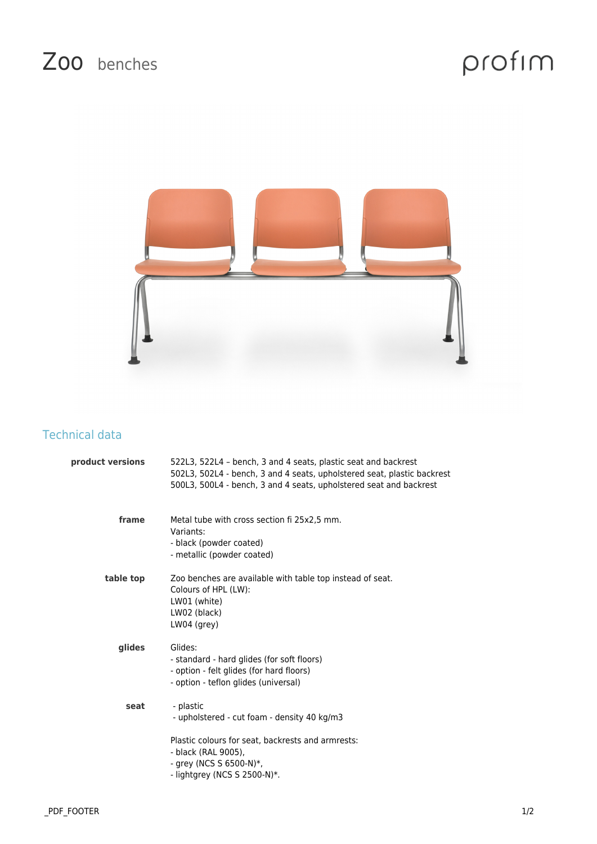## Zoo benches

## profim



## Technical data

| product versions | 522L3, 522L4 - bench, 3 and 4 seats, plastic seat and backrest<br>502L3, 502L4 - bench, 3 and 4 seats, upholstered seat, plastic backrest<br>500L3, 500L4 - bench, 3 and 4 seats, upholstered seat and backrest |
|------------------|-----------------------------------------------------------------------------------------------------------------------------------------------------------------------------------------------------------------|
| frame            | Metal tube with cross section fi 25x2,5 mm.<br>Variants:<br>- black (powder coated)<br>- metallic (powder coated)                                                                                               |
| table top        | Zoo benches are available with table top instead of seat.<br>Colours of HPL (LW):<br>LW01 (white)<br>LW02 (black)<br>$LWO4$ (grey)                                                                              |
| glides           | Glides:<br>- standard - hard glides (for soft floors)<br>- option - felt glides (for hard floors)<br>- option - teflon glides (universal)                                                                       |
| seat             | - plastic<br>- upholstered - cut foam - density 40 kg/m3<br>Plastic colours for seat, backrests and armrests:                                                                                                   |
|                  | - black (RAL 9005),<br>- grey (NCS S $6500-N$ )*,<br>- lightgrey (NCS S 2500-N)*.                                                                                                                               |